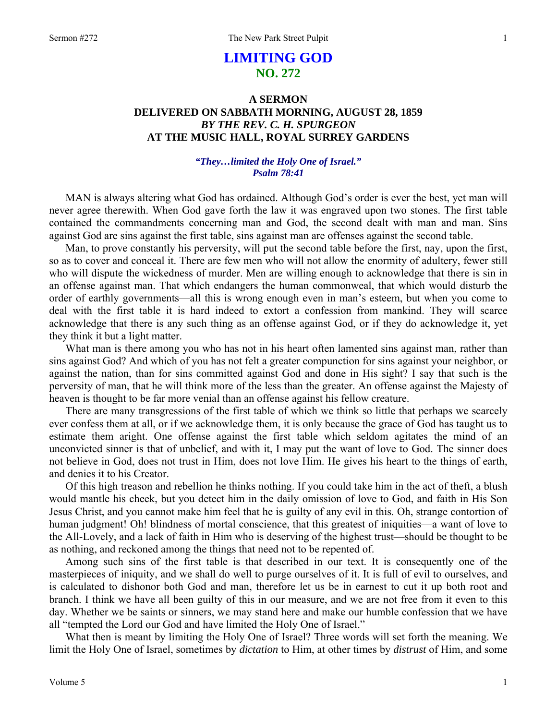# **LIMITING GOD NO. 272**

## **A SERMON DELIVERED ON SABBATH MORNING, AUGUST 28, 1859**  *BY THE REV. C. H. SPURGEON*  **AT THE MUSIC HALL, ROYAL SURREY GARDENS**

## *"They…limited the Holy One of Israel." Psalm 78:41*

MAN is always altering what God has ordained. Although God's order is ever the best, yet man will never agree therewith. When God gave forth the law it was engraved upon two stones. The first table contained the commandments concerning man and God, the second dealt with man and man. Sins against God are sins against the first table, sins against man are offenses against the second table.

Man, to prove constantly his perversity, will put the second table before the first, nay, upon the first, so as to cover and conceal it. There are few men who will not allow the enormity of adultery, fewer still who will dispute the wickedness of murder. Men are willing enough to acknowledge that there is sin in an offense against man. That which endangers the human commonweal, that which would disturb the order of earthly governments—all this is wrong enough even in man's esteem, but when you come to deal with the first table it is hard indeed to extort a confession from mankind. They will scarce acknowledge that there is any such thing as an offense against God, or if they do acknowledge it, yet they think it but a light matter.

What man is there among you who has not in his heart often lamented sins against man, rather than sins against God? And which of you has not felt a greater compunction for sins against your neighbor, or against the nation, than for sins committed against God and done in His sight? I say that such is the perversity of man, that he will think more of the less than the greater. An offense against the Majesty of heaven is thought to be far more venial than an offense against his fellow creature.

There are many transgressions of the first table of which we think so little that perhaps we scarcely ever confess them at all, or if we acknowledge them, it is only because the grace of God has taught us to estimate them aright. One offense against the first table which seldom agitates the mind of an unconvicted sinner is that of unbelief, and with it, I may put the want of love to God. The sinner does not believe in God, does not trust in Him, does not love Him. He gives his heart to the things of earth, and denies it to his Creator.

Of this high treason and rebellion he thinks nothing. If you could take him in the act of theft, a blush would mantle his cheek, but you detect him in the daily omission of love to God, and faith in His Son Jesus Christ, and you cannot make him feel that he is guilty of any evil in this. Oh, strange contortion of human judgment! Oh! blindness of mortal conscience, that this greatest of iniquities—a want of love to the All-Lovely, and a lack of faith in Him who is deserving of the highest trust—should be thought to be as nothing, and reckoned among the things that need not to be repented of.

Among such sins of the first table is that described in our text. It is consequently one of the masterpieces of iniquity, and we shall do well to purge ourselves of it. It is full of evil to ourselves, and is calculated to dishonor both God and man, therefore let us be in earnest to cut it up both root and branch. I think we have all been guilty of this in our measure, and we are not free from it even to this day. Whether we be saints or sinners, we may stand here and make our humble confession that we have all "tempted the Lord our God and have limited the Holy One of Israel."

What then is meant by limiting the Holy One of Israel? Three words will set forth the meaning. We limit the Holy One of Israel, sometimes by *dictation* to Him, at other times by *distrust* of Him, and some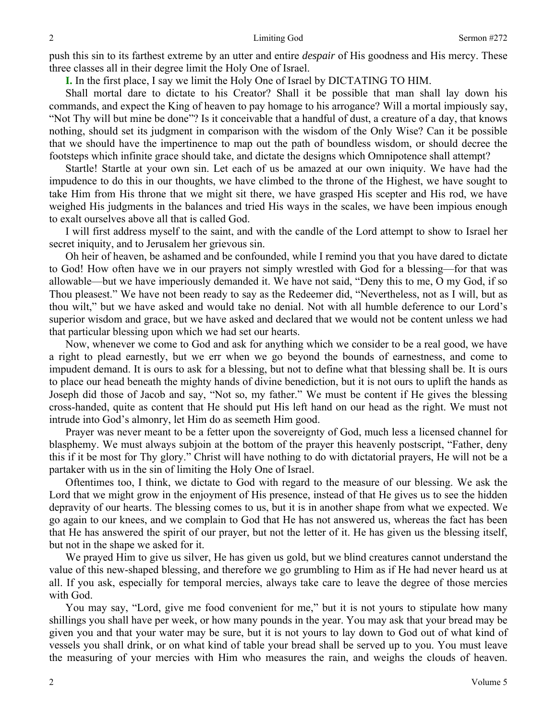push this sin to its farthest extreme by an utter and entire *despair* of His goodness and His mercy. These three classes all in their degree limit the Holy One of Israel.

**I.** In the first place, I say we limit the Holy One of Israel by DICTATING TO HIM.

Shall mortal dare to dictate to his Creator? Shall it be possible that man shall lay down his commands, and expect the King of heaven to pay homage to his arrogance? Will a mortal impiously say, "Not Thy will but mine be done"? Is it conceivable that a handful of dust, a creature of a day, that knows nothing, should set its judgment in comparison with the wisdom of the Only Wise? Can it be possible that we should have the impertinence to map out the path of boundless wisdom, or should decree the footsteps which infinite grace should take, and dictate the designs which Omnipotence shall attempt?

Startle! Startle at your own sin. Let each of us be amazed at our own iniquity. We have had the impudence to do this in our thoughts, we have climbed to the throne of the Highest, we have sought to take Him from His throne that we might sit there, we have grasped His scepter and His rod, we have weighed His judgments in the balances and tried His ways in the scales, we have been impious enough to exalt ourselves above all that is called God.

I will first address myself to the saint, and with the candle of the Lord attempt to show to Israel her secret iniquity, and to Jerusalem her grievous sin.

Oh heir of heaven, be ashamed and be confounded, while I remind you that you have dared to dictate to God! How often have we in our prayers not simply wrestled with God for a blessing—for that was allowable—but we have imperiously demanded it. We have not said, "Deny this to me, O my God, if so Thou pleasest." We have not been ready to say as the Redeemer did, "Nevertheless, not as I will, but as thou wilt," but we have asked and would take no denial. Not with all humble deference to our Lord's superior wisdom and grace, but we have asked and declared that we would not be content unless we had that particular blessing upon which we had set our hearts.

Now, whenever we come to God and ask for anything which we consider to be a real good, we have a right to plead earnestly, but we err when we go beyond the bounds of earnestness, and come to impudent demand. It is ours to ask for a blessing, but not to define what that blessing shall be. It is ours to place our head beneath the mighty hands of divine benediction, but it is not ours to uplift the hands as Joseph did those of Jacob and say, "Not so, my father." We must be content if He gives the blessing cross-handed, quite as content that He should put His left hand on our head as the right. We must not intrude into God's almonry, let Him do as seemeth Him good.

Prayer was never meant to be a fetter upon the sovereignty of God, much less a licensed channel for blasphemy. We must always subjoin at the bottom of the prayer this heavenly postscript, "Father, deny this if it be most for Thy glory." Christ will have nothing to do with dictatorial prayers, He will not be a partaker with us in the sin of limiting the Holy One of Israel.

Oftentimes too, I think, we dictate to God with regard to the measure of our blessing. We ask the Lord that we might grow in the enjoyment of His presence, instead of that He gives us to see the hidden depravity of our hearts. The blessing comes to us, but it is in another shape from what we expected. We go again to our knees, and we complain to God that He has not answered us, whereas the fact has been that He has answered the spirit of our prayer, but not the letter of it. He has given us the blessing itself, but not in the shape we asked for it.

We prayed Him to give us silver, He has given us gold, but we blind creatures cannot understand the value of this new-shaped blessing, and therefore we go grumbling to Him as if He had never heard us at all. If you ask, especially for temporal mercies, always take care to leave the degree of those mercies with God.

You may say, "Lord, give me food convenient for me," but it is not yours to stipulate how many shillings you shall have per week, or how many pounds in the year. You may ask that your bread may be given you and that your water may be sure, but it is not yours to lay down to God out of what kind of vessels you shall drink, or on what kind of table your bread shall be served up to you. You must leave the measuring of your mercies with Him who measures the rain, and weighs the clouds of heaven.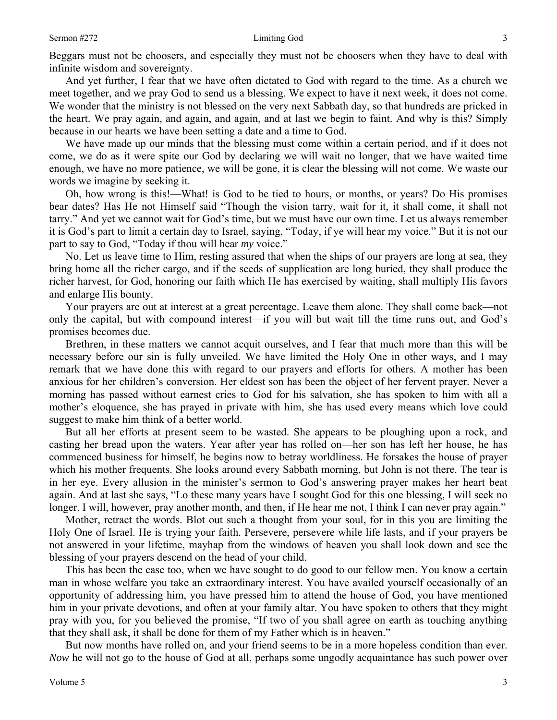#### Sermon #272 Limiting God

Beggars must not be choosers, and especially they must not be choosers when they have to deal with infinite wisdom and sovereignty.

And yet further, I fear that we have often dictated to God with regard to the time. As a church we meet together, and we pray God to send us a blessing. We expect to have it next week, it does not come. We wonder that the ministry is not blessed on the very next Sabbath day, so that hundreds are pricked in the heart. We pray again, and again, and again, and at last we begin to faint. And why is this? Simply because in our hearts we have been setting a date and a time to God.

We have made up our minds that the blessing must come within a certain period, and if it does not come, we do as it were spite our God by declaring we will wait no longer, that we have waited time enough, we have no more patience, we will be gone, it is clear the blessing will not come. We waste our words we imagine by seeking it.

Oh, how wrong is this!—What! is God to be tied to hours, or months, or years? Do His promises bear dates? Has He not Himself said "Though the vision tarry, wait for it, it shall come, it shall not tarry." And yet we cannot wait for God's time, but we must have our own time. Let us always remember it is God's part to limit a certain day to Israel, saying, "Today, if ye will hear my voice." But it is not our part to say to God, "Today if thou will hear *my* voice."

No. Let us leave time to Him, resting assured that when the ships of our prayers are long at sea, they bring home all the richer cargo, and if the seeds of supplication are long buried, they shall produce the richer harvest, for God, honoring our faith which He has exercised by waiting, shall multiply His favors and enlarge His bounty.

Your prayers are out at interest at a great percentage. Leave them alone. They shall come back—not only the capital, but with compound interest—if you will but wait till the time runs out, and God's promises becomes due.

Brethren, in these matters we cannot acquit ourselves, and I fear that much more than this will be necessary before our sin is fully unveiled. We have limited the Holy One in other ways, and I may remark that we have done this with regard to our prayers and efforts for others. A mother has been anxious for her children's conversion. Her eldest son has been the object of her fervent prayer. Never a morning has passed without earnest cries to God for his salvation, she has spoken to him with all a mother's eloquence, she has prayed in private with him, she has used every means which love could suggest to make him think of a better world.

But all her efforts at present seem to be wasted. She appears to be ploughing upon a rock, and casting her bread upon the waters. Year after year has rolled on—her son has left her house, he has commenced business for himself, he begins now to betray worldliness. He forsakes the house of prayer which his mother frequents. She looks around every Sabbath morning, but John is not there. The tear is in her eye. Every allusion in the minister's sermon to God's answering prayer makes her heart beat again. And at last she says, "Lo these many years have I sought God for this one blessing, I will seek no longer. I will, however, pray another month, and then, if He hear me not, I think I can never pray again."

Mother, retract the words. Blot out such a thought from your soul, for in this you are limiting the Holy One of Israel. He is trying your faith. Persevere, persevere while life lasts, and if your prayers be not answered in your lifetime, mayhap from the windows of heaven you shall look down and see the blessing of your prayers descend on the head of your child.

This has been the case too, when we have sought to do good to our fellow men. You know a certain man in whose welfare you take an extraordinary interest. You have availed yourself occasionally of an opportunity of addressing him, you have pressed him to attend the house of God, you have mentioned him in your private devotions, and often at your family altar. You have spoken to others that they might pray with you, for you believed the promise, "If two of you shall agree on earth as touching anything that they shall ask, it shall be done for them of my Father which is in heaven."

But now months have rolled on, and your friend seems to be in a more hopeless condition than ever. *Now* he will not go to the house of God at all, perhaps some ungodly acquaintance has such power over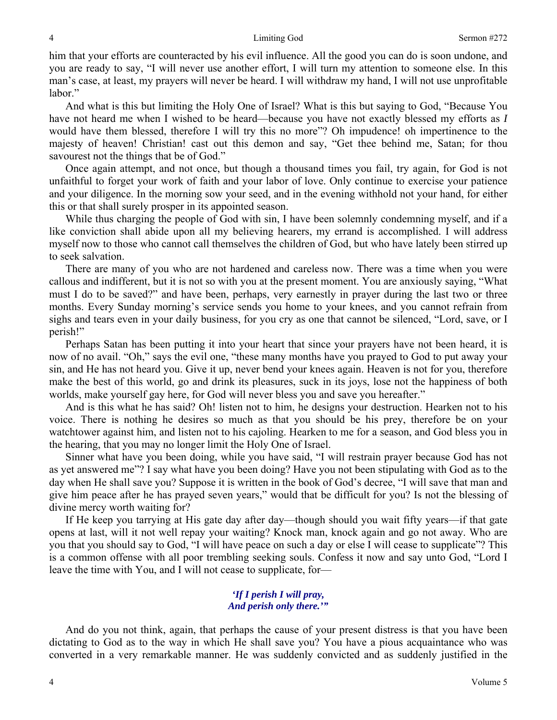#### Limiting God Sermon #272

him that your efforts are counteracted by his evil influence. All the good you can do is soon undone, and you are ready to say, "I will never use another effort, I will turn my attention to someone else. In this man's case, at least, my prayers will never be heard. I will withdraw my hand, I will not use unprofitable labor."

And what is this but limiting the Holy One of Israel? What is this but saying to God, "Because You have not heard me when I wished to be heard—because you have not exactly blessed my efforts as *I* would have them blessed, therefore I will try this no more"? Oh impudence! oh impertinence to the majesty of heaven! Christian! cast out this demon and say, "Get thee behind me, Satan; for thou savourest not the things that be of God."

Once again attempt, and not once, but though a thousand times you fail, try again, for God is not unfaithful to forget your work of faith and your labor of love. Only continue to exercise your patience and your diligence. In the morning sow your seed, and in the evening withhold not your hand, for either this or that shall surely prosper in its appointed season.

While thus charging the people of God with sin, I have been solemnly condemning myself, and if a like conviction shall abide upon all my believing hearers, my errand is accomplished. I will address myself now to those who cannot call themselves the children of God, but who have lately been stirred up to seek salvation.

There are many of you who are not hardened and careless now. There was a time when you were callous and indifferent, but it is not so with you at the present moment. You are anxiously saying, "What must I do to be saved?" and have been, perhaps, very earnestly in prayer during the last two or three months. Every Sunday morning's service sends you home to your knees, and you cannot refrain from sighs and tears even in your daily business, for you cry as one that cannot be silenced, "Lord, save, or I perish!"

Perhaps Satan has been putting it into your heart that since your prayers have not been heard, it is now of no avail. "Oh," says the evil one, "these many months have you prayed to God to put away your sin, and He has not heard you. Give it up, never bend your knees again. Heaven is not for you, therefore make the best of this world, go and drink its pleasures, suck in its joys, lose not the happiness of both worlds, make yourself gay here, for God will never bless you and save you hereafter."

And is this what he has said? Oh! listen not to him, he designs your destruction. Hearken not to his voice. There is nothing he desires so much as that you should be his prey, therefore be on your watchtower against him, and listen not to his cajoling. Hearken to me for a season, and God bless you in the hearing, that you may no longer limit the Holy One of Israel.

Sinner what have you been doing, while you have said, "I will restrain prayer because God has not as yet answered me"? I say what have you been doing? Have you not been stipulating with God as to the day when He shall save you? Suppose it is written in the book of God's decree, "I will save that man and give him peace after he has prayed seven years," would that be difficult for you? Is not the blessing of divine mercy worth waiting for?

If He keep you tarrying at His gate day after day—though should you wait fifty years—if that gate opens at last, will it not well repay your waiting? Knock man, knock again and go not away. Who are you that you should say to God, "I will have peace on such a day or else I will cease to supplicate"? This is a common offense with all poor trembling seeking souls. Confess it now and say unto God, "Lord I leave the time with You, and I will not cease to supplicate, for—

### *'If I perish I will pray, And perish only there.'"*

And do you not think, again, that perhaps the cause of your present distress is that you have been dictating to God as to the way in which He shall save you? You have a pious acquaintance who was converted in a very remarkable manner. He was suddenly convicted and as suddenly justified in the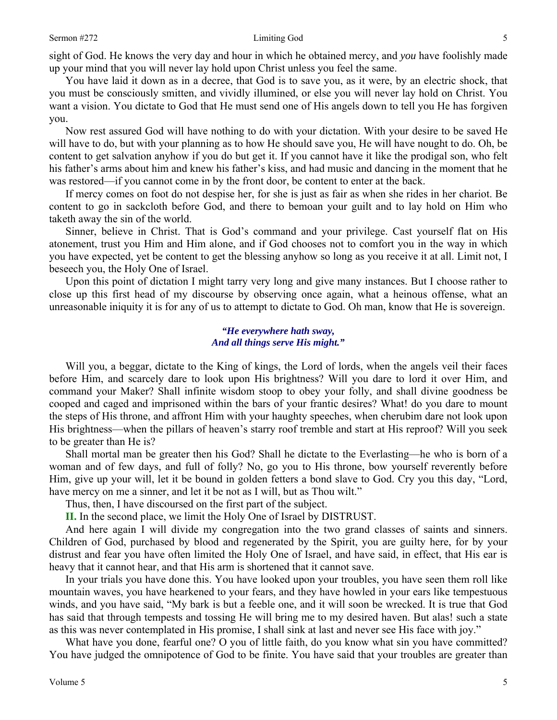#### Sermon #272 Limiting God

sight of God. He knows the very day and hour in which he obtained mercy, and *you* have foolishly made up your mind that you will never lay hold upon Christ unless you feel the same.

You have laid it down as in a decree, that God is to save you, as it were, by an electric shock, that you must be consciously smitten, and vividly illumined, or else you will never lay hold on Christ. You want a vision. You dictate to God that He must send one of His angels down to tell you He has forgiven you.

Now rest assured God will have nothing to do with your dictation. With your desire to be saved He will have to do, but with your planning as to how He should save you, He will have nought to do. Oh, be content to get salvation anyhow if you do but get it. If you cannot have it like the prodigal son, who felt his father's arms about him and knew his father's kiss, and had music and dancing in the moment that he was restored—if you cannot come in by the front door, be content to enter at the back.

If mercy comes on foot do not despise her, for she is just as fair as when she rides in her chariot. Be content to go in sackcloth before God, and there to bemoan your guilt and to lay hold on Him who taketh away the sin of the world.

Sinner, believe in Christ. That is God's command and your privilege. Cast yourself flat on His atonement, trust you Him and Him alone, and if God chooses not to comfort you in the way in which you have expected, yet be content to get the blessing anyhow so long as you receive it at all. Limit not, I beseech you, the Holy One of Israel.

Upon this point of dictation I might tarry very long and give many instances. But I choose rather to close up this first head of my discourse by observing once again, what a heinous offense, what an unreasonable iniquity it is for any of us to attempt to dictate to God. Oh man, know that He is sovereign.

### *"He everywhere hath sway, And all things serve His might."*

Will you, a beggar, dictate to the King of kings, the Lord of lords, when the angels veil their faces before Him, and scarcely dare to look upon His brightness? Will you dare to lord it over Him, and command your Maker? Shall infinite wisdom stoop to obey your folly, and shall divine goodness be cooped and caged and imprisoned within the bars of your frantic desires? What! do you dare to mount the steps of His throne, and affront Him with your haughty speeches, when cherubim dare not look upon His brightness—when the pillars of heaven's starry roof tremble and start at His reproof? Will you seek to be greater than He is?

Shall mortal man be greater then his God? Shall he dictate to the Everlasting—he who is born of a woman and of few days, and full of folly? No, go you to His throne, bow yourself reverently before Him, give up your will, let it be bound in golden fetters a bond slave to God. Cry you this day, "Lord, have mercy on me a sinner, and let it be not as I will, but as Thou wilt."

Thus, then, I have discoursed on the first part of the subject.

**II.** In the second place, we limit the Holy One of Israel by DISTRUST.

And here again I will divide my congregation into the two grand classes of saints and sinners. Children of God, purchased by blood and regenerated by the Spirit, you are guilty here, for by your distrust and fear you have often limited the Holy One of Israel, and have said, in effect, that His ear is heavy that it cannot hear, and that His arm is shortened that it cannot save.

In your trials you have done this. You have looked upon your troubles, you have seen them roll like mountain waves, you have hearkened to your fears, and they have howled in your ears like tempestuous winds, and you have said, "My bark is but a feeble one, and it will soon be wrecked. It is true that God has said that through tempests and tossing He will bring me to my desired haven. But alas! such a state as this was never contemplated in His promise, I shall sink at last and never see His face with joy."

What have you done, fearful one? O you of little faith, do you know what sin you have committed? You have judged the omnipotence of God to be finite. You have said that your troubles are greater than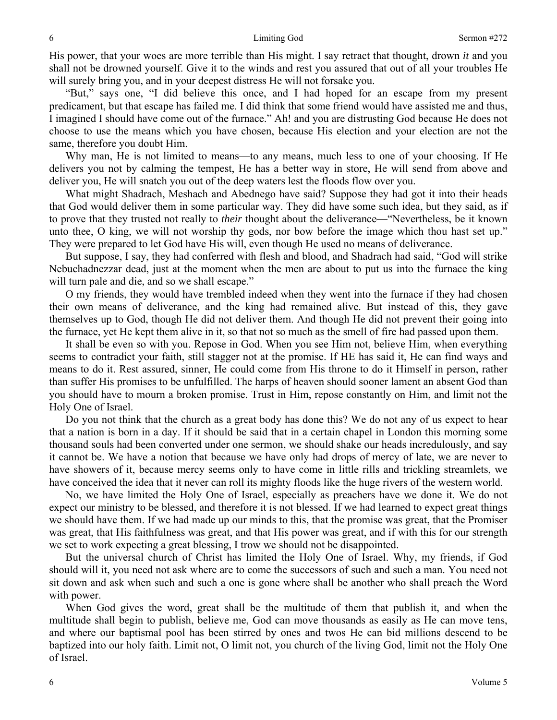His power, that your woes are more terrible than His might. I say retract that thought, drown *it* and you shall not be drowned yourself. Give it to the winds and rest you assured that out of all your troubles He will surely bring you, and in your deepest distress He will not forsake you.

"But," says one, "I did believe this once, and I had hoped for an escape from my present predicament, but that escape has failed me. I did think that some friend would have assisted me and thus, I imagined I should have come out of the furnace." Ah! and you are distrusting God because He does not choose to use the means which you have chosen, because His election and your election are not the same, therefore you doubt Him.

Why man, He is not limited to means—to any means, much less to one of your choosing. If He delivers you not by calming the tempest, He has a better way in store, He will send from above and deliver you, He will snatch you out of the deep waters lest the floods flow over you.

What might Shadrach, Meshach and Abednego have said? Suppose they had got it into their heads that God would deliver them in some particular way. They did have some such idea, but they said, as if to prove that they trusted not really to *their* thought about the deliverance—"Nevertheless, be it known unto thee, O king, we will not worship thy gods, nor bow before the image which thou hast set up." They were prepared to let God have His will, even though He used no means of deliverance.

But suppose, I say, they had conferred with flesh and blood, and Shadrach had said, "God will strike Nebuchadnezzar dead, just at the moment when the men are about to put us into the furnace the king will turn pale and die, and so we shall escape."

O my friends, they would have trembled indeed when they went into the furnace if they had chosen their own means of deliverance, and the king had remained alive. But instead of this, they gave themselves up to God, though He did not deliver them. And though He did not prevent their going into the furnace, yet He kept them alive in it, so that not so much as the smell of fire had passed upon them.

It shall be even so with you. Repose in God. When you see Him not, believe Him, when everything seems to contradict your faith, still stagger not at the promise. If HE has said it, He can find ways and means to do it. Rest assured, sinner, He could come from His throne to do it Himself in person, rather than suffer His promises to be unfulfilled. The harps of heaven should sooner lament an absent God than you should have to mourn a broken promise. Trust in Him, repose constantly on Him, and limit not the Holy One of Israel.

Do you not think that the church as a great body has done this? We do not any of us expect to hear that a nation is born in a day. If it should be said that in a certain chapel in London this morning some thousand souls had been converted under one sermon, we should shake our heads incredulously, and say it cannot be. We have a notion that because we have only had drops of mercy of late, we are never to have showers of it, because mercy seems only to have come in little rills and trickling streamlets, we have conceived the idea that it never can roll its mighty floods like the huge rivers of the western world.

No, we have limited the Holy One of Israel, especially as preachers have we done it. We do not expect our ministry to be blessed, and therefore it is not blessed. If we had learned to expect great things we should have them. If we had made up our minds to this, that the promise was great, that the Promiser was great, that His faithfulness was great, and that His power was great, and if with this for our strength we set to work expecting a great blessing, I trow we should not be disappointed.

But the universal church of Christ has limited the Holy One of Israel. Why, my friends, if God should will it, you need not ask where are to come the successors of such and such a man. You need not sit down and ask when such and such a one is gone where shall be another who shall preach the Word with power.

When God gives the word, great shall be the multitude of them that publish it, and when the multitude shall begin to publish, believe me, God can move thousands as easily as He can move tens, and where our baptismal pool has been stirred by ones and twos He can bid millions descend to be baptized into our holy faith. Limit not, O limit not, you church of the living God, limit not the Holy One of Israel.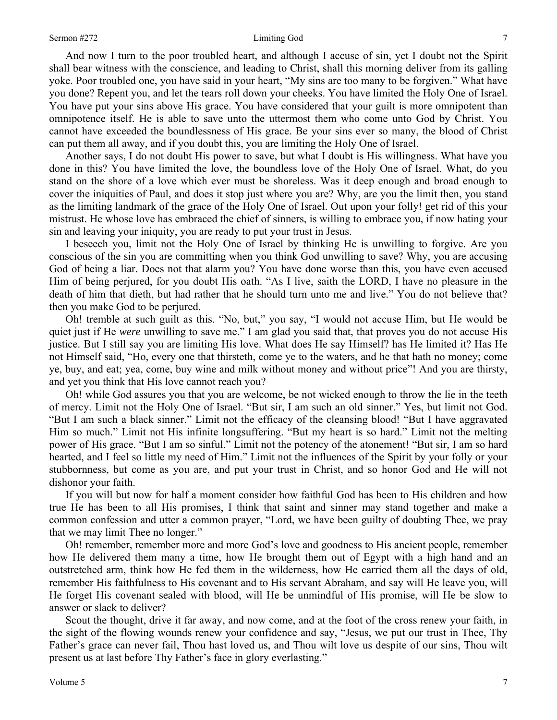And now I turn to the poor troubled heart, and although I accuse of sin, yet I doubt not the Spirit shall bear witness with the conscience, and leading to Christ, shall this morning deliver from its galling yoke. Poor troubled one, you have said in your heart, "My sins are too many to be forgiven." What have you done? Repent you, and let the tears roll down your cheeks. You have limited the Holy One of Israel. You have put your sins above His grace. You have considered that your guilt is more omnipotent than omnipotence itself. He is able to save unto the uttermost them who come unto God by Christ. You cannot have exceeded the boundlessness of His grace. Be your sins ever so many, the blood of Christ can put them all away, and if you doubt this, you are limiting the Holy One of Israel.

Another says, I do not doubt His power to save, but what I doubt is His willingness. What have you done in this? You have limited the love, the boundless love of the Holy One of Israel. What, do you stand on the shore of a love which ever must be shoreless. Was it deep enough and broad enough to cover the iniquities of Paul, and does it stop just where you are? Why, are you the limit then, you stand as the limiting landmark of the grace of the Holy One of Israel. Out upon your folly! get rid of this your mistrust. He whose love has embraced the chief of sinners, is willing to embrace you, if now hating your sin and leaving your iniquity, you are ready to put your trust in Jesus.

I beseech you, limit not the Holy One of Israel by thinking He is unwilling to forgive. Are you conscious of the sin you are committing when you think God unwilling to save? Why, you are accusing God of being a liar. Does not that alarm you? You have done worse than this, you have even accused Him of being perjured, for you doubt His oath. "As I live, saith the LORD, I have no pleasure in the death of him that dieth, but had rather that he should turn unto me and live." You do not believe that? then you make God to be perjured.

Oh! tremble at such guilt as this. "No, but," you say, "I would not accuse Him, but He would be quiet just if He *were* unwilling to save me." I am glad you said that, that proves you do not accuse His justice. But I still say you are limiting His love. What does He say Himself? has He limited it? Has He not Himself said, "Ho, every one that thirsteth, come ye to the waters, and he that hath no money; come ye, buy, and eat; yea, come, buy wine and milk without money and without price"! And you are thirsty, and yet you think that His love cannot reach you?

Oh! while God assures you that you are welcome, be not wicked enough to throw the lie in the teeth of mercy. Limit not the Holy One of Israel. "But sir, I am such an old sinner." Yes, but limit not God. "But I am such a black sinner." Limit not the efficacy of the cleansing blood! "But I have aggravated Him so much." Limit not His infinite longsuffering. "But my heart is so hard." Limit not the melting power of His grace. "But I am so sinful." Limit not the potency of the atonement! "But sir, I am so hard hearted, and I feel so little my need of Him." Limit not the influences of the Spirit by your folly or your stubbornness, but come as you are, and put your trust in Christ, and so honor God and He will not dishonor your faith.

If you will but now for half a moment consider how faithful God has been to His children and how true He has been to all His promises, I think that saint and sinner may stand together and make a common confession and utter a common prayer, "Lord, we have been guilty of doubting Thee, we pray that we may limit Thee no longer."

Oh! remember, remember more and more God's love and goodness to His ancient people, remember how He delivered them many a time, how He brought them out of Egypt with a high hand and an outstretched arm, think how He fed them in the wilderness, how He carried them all the days of old, remember His faithfulness to His covenant and to His servant Abraham, and say will He leave you, will He forget His covenant sealed with blood, will He be unmindful of His promise, will He be slow to answer or slack to deliver?

Scout the thought, drive it far away, and now come, and at the foot of the cross renew your faith, in the sight of the flowing wounds renew your confidence and say, "Jesus, we put our trust in Thee, Thy Father's grace can never fail, Thou hast loved us, and Thou wilt love us despite of our sins, Thou wilt present us at last before Thy Father's face in glory everlasting."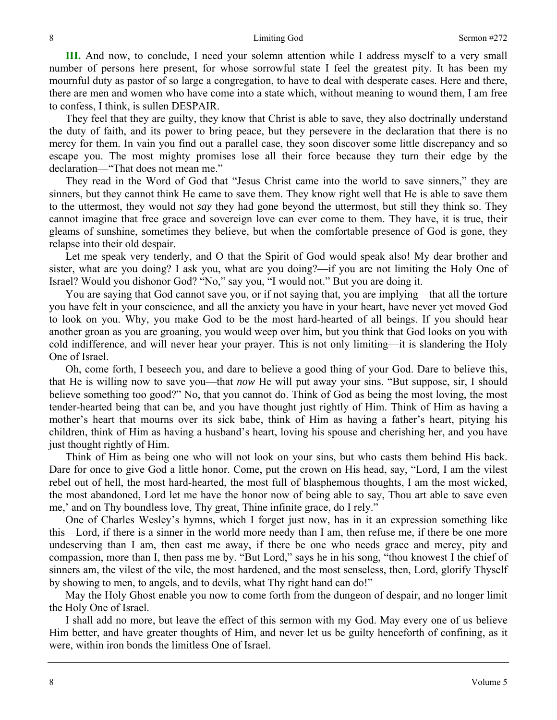**III.** And now, to conclude, I need your solemn attention while I address myself to a very small number of persons here present, for whose sorrowful state I feel the greatest pity. It has been my mournful duty as pastor of so large a congregation, to have to deal with desperate cases. Here and there, there are men and women who have come into a state which, without meaning to wound them, I am free to confess, I think, is sullen DESPAIR.

They feel that they are guilty, they know that Christ is able to save, they also doctrinally understand the duty of faith, and its power to bring peace, but they persevere in the declaration that there is no mercy for them. In vain you find out a parallel case, they soon discover some little discrepancy and so escape you. The most mighty promises lose all their force because they turn their edge by the declaration—"That does not mean me."

They read in the Word of God that "Jesus Christ came into the world to save sinners," they are sinners, but they cannot think He came to save them. They know right well that He is able to save them to the uttermost, they would not *say* they had gone beyond the uttermost, but still they think so. They cannot imagine that free grace and sovereign love can ever come to them. They have, it is true, their gleams of sunshine, sometimes they believe, but when the comfortable presence of God is gone, they relapse into their old despair.

Let me speak very tenderly, and O that the Spirit of God would speak also! My dear brother and sister, what are you doing? I ask you, what are you doing?—if you are not limiting the Holy One of Israel? Would you dishonor God? "No," say you, "I would not." But you are doing it.

You are saying that God cannot save you, or if not saying that, you are implying—that all the torture you have felt in your conscience, and all the anxiety you have in your heart, have never yet moved God to look on you. Why, you make God to be the most hard-hearted of all beings. If you should hear another groan as you are groaning, you would weep over him, but you think that God looks on you with cold indifference, and will never hear your prayer. This is not only limiting—it is slandering the Holy One of Israel.

Oh, come forth, I beseech you, and dare to believe a good thing of your God. Dare to believe this, that He is willing now to save you—that *now* He will put away your sins. "But suppose, sir, I should believe something too good?" No, that you cannot do. Think of God as being the most loving, the most tender-hearted being that can be, and you have thought just rightly of Him. Think of Him as having a mother's heart that mourns over its sick babe, think of Him as having a father's heart, pitying his children, think of Him as having a husband's heart, loving his spouse and cherishing her, and you have just thought rightly of Him.

Think of Him as being one who will not look on your sins, but who casts them behind His back. Dare for once to give God a little honor. Come, put the crown on His head, say, "Lord, I am the vilest rebel out of hell, the most hard-hearted, the most full of blasphemous thoughts, I am the most wicked, the most abandoned, Lord let me have the honor now of being able to say, Thou art able to save even me,' and on Thy boundless love, Thy great, Thine infinite grace, do I rely."

One of Charles Wesley's hymns, which I forget just now, has in it an expression something like this—Lord, if there is a sinner in the world more needy than I am, then refuse me, if there be one more undeserving than I am, then cast me away, if there be one who needs grace and mercy, pity and compassion, more than I, then pass me by. "But Lord," says he in his song, "thou knowest I the chief of sinners am, the vilest of the vile, the most hardened, and the most senseless, then, Lord, glorify Thyself by showing to men, to angels, and to devils, what Thy right hand can do!"

May the Holy Ghost enable you now to come forth from the dungeon of despair, and no longer limit the Holy One of Israel.

I shall add no more, but leave the effect of this sermon with my God. May every one of us believe Him better, and have greater thoughts of Him, and never let us be guilty henceforth of confining, as it were, within iron bonds the limitless One of Israel.

8